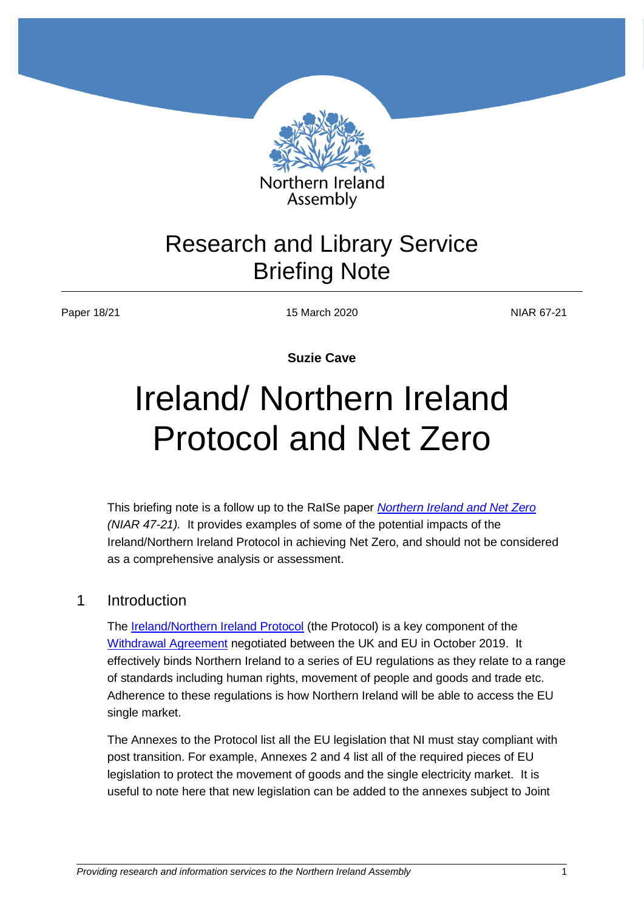

Assembly

# Research and Library Service Briefing Note

Paper 18/21 15 March 2020 15 March 2020

**Suzie Cave**

# Ireland/ Northern Ireland Protocol and Net Zero

This briefing note is a follow up to the RaISe paper *[Northern Ireland and Net Zero](http://www.niassembly.gov.uk/globalassets/documents/raise/publications/2017-2022/2021/aera/1421.pdf) (NIAR 47-21).* It provides examples of some of the potential impacts of the Ireland/Northern Ireland Protocol in achieving Net Zero, and should not be considered as a comprehensive analysis or assessment.

### 1 Introduction

The **Ireland/Northern Ireland Protocol** (the Protocol) is a key component of the [Withdrawal Agreement](file:///C:/Users/hulld/AppData/Local/Microsoft/Windows/INetCache/Content.Outlook/7WHRA9FB/%5dhttps:/assets.publishing.service.gov.uk/government/uploads/system/uploads/attachment_data/file/759019/25_November_Agreement_on_the_withdrawal_of_the_United_Kingdom_of_Great_Britain_and_Northern_Ireland_from_the_European_Union_and_the_European_Atomic_Energy_Community.pdf) negotiated between the UK and EU in October 2019. It effectively binds Northern Ireland to a series of EU regulations as they relate to a range of standards including human rights, movement of people and goods and trade etc. Adherence to these regulations is how Northern Ireland will be able to access the EU single market.

The Annexes to the Protocol list all the EU legislation that NI must stay compliant with post transition. For example, Annexes 2 and 4 list all of the required pieces of EU legislation to protect the movement of goods and the single electricity market. It is useful to note here that new legislation can be added to the annexes subject to Joint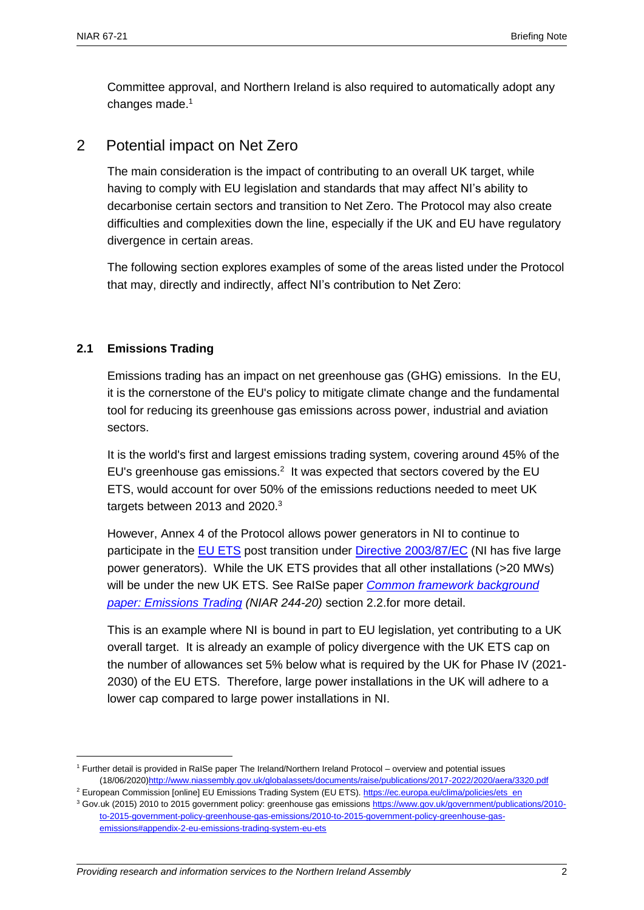Committee approval, and Northern Ireland is also required to automatically adopt any changes made.<sup>1</sup>

## 2 Potential impact on Net Zero

The main consideration is the impact of contributing to an overall UK target, while having to comply with EU legislation and standards that may affect NI's ability to decarbonise certain sectors and transition to Net Zero. The Protocol may also create difficulties and complexities down the line, especially if the UK and EU have regulatory divergence in certain areas.

The following section explores examples of some of the areas listed under the Protocol that may, directly and indirectly, affect NI's contribution to Net Zero:

#### **2.1 Emissions Trading**

 $\overline{a}$ 

Emissions trading has an impact on net greenhouse gas (GHG) emissions. In the EU, it is the cornerstone of the EU's policy to mitigate climate change and the fundamental tool for reducing its greenhouse gas emissions across power, industrial and aviation sectors.

It is the world's first and largest emissions trading system, covering around 45% of the EU's greenhouse gas emissions. $2$  It was expected that sectors covered by the EU ETS, would account for over 50% of the emissions reductions needed to meet UK targets between 2013 and 2020.<sup>3</sup>

However, Annex 4 of the Protocol allows power generators in NI to continue to participate in the [EU ETS](https://ec.europa.eu/clima/policies/ets_en) post transition under [Directive 2003/87/EC](https://eur-lex.europa.eu/legal-content/EN/TXT/?uri=CELEX%3A32003L0087) (NI has five large power generators). While the UK ETS provides that all other installations (>20 MWs) will be under the new UK ETS. See RaISe paper *[Common framework background](http://www.niassembly.gov.uk/globalassets/documents/raise/publications/2017-2022/2020/aera/4220.pdf)  [paper: Emissions Trading](http://www.niassembly.gov.uk/globalassets/documents/raise/publications/2017-2022/2020/aera/4220.pdf) (NIAR 244-20)* section 2.2.for more detail.

This is an example where NI is bound in part to EU legislation, yet contributing to a UK overall target. It is already an example of policy divergence with the UK ETS cap on the number of allowances set 5% below what is required by the UK for Phase IV (2021- 2030) of the EU ETS. Therefore, large power installations in the UK will adhere to a lower cap compared to large power installations in NI.

<sup>1</sup> Further detail is provided in RaISe paper The Ireland/Northern Ireland Protocol – overview and potential issues (18/06/2020[\)http://www.niassembly.gov.uk/globalassets/documents/raise/publications/2017-2022/2020/aera/3320.pdf](http://www.niassembly.gov.uk/globalassets/documents/raise/publications/2017-2022/2020/aera/3320.pdf)

<sup>&</sup>lt;sup>2</sup> European Commission [online] EU Emissions Trading System (EU ETS). [https://ec.europa.eu/clima/policies/ets\\_en](https://ec.europa.eu/clima/policies/ets_en) <sup>3</sup> Gov.uk (2015) 2010 to 2015 government policy: greenhouse gas emissions [https://www.gov.uk/government/publications/2010-](https://www.gov.uk/government/publications/2010-to-2015-government-policy-greenhouse-gas-emissions/2010-to-2015-government-policy-greenhouse-gas-emissions#appendix-2-eu-emissions-trading-system-eu-ets)

[to-2015-government-policy-greenhouse-gas-emissions/2010-to-2015-government-policy-greenhouse-gas](https://www.gov.uk/government/publications/2010-to-2015-government-policy-greenhouse-gas-emissions/2010-to-2015-government-policy-greenhouse-gas-emissions#appendix-2-eu-emissions-trading-system-eu-ets)[emissions#appendix-2-eu-emissions-trading-system-eu-ets](https://www.gov.uk/government/publications/2010-to-2015-government-policy-greenhouse-gas-emissions/2010-to-2015-government-policy-greenhouse-gas-emissions#appendix-2-eu-emissions-trading-system-eu-ets)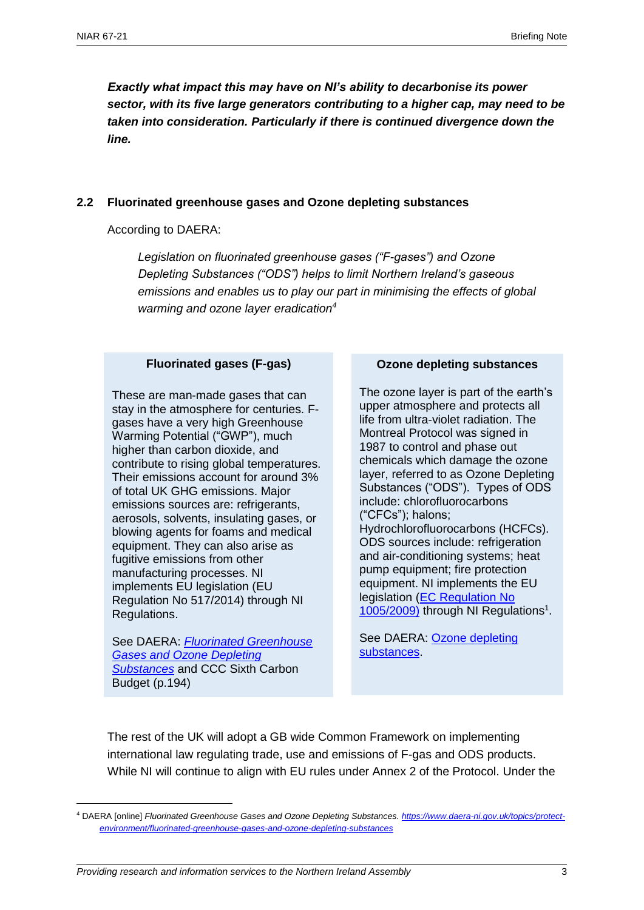*Exactly what impact this may have on NI's ability to decarbonise its power sector, with its five large generators contributing to a higher cap, may need to be taken into consideration. Particularly if there is continued divergence down the line.*

#### **2.2 Fluorinated greenhouse gases and Ozone depleting substances**

According to DAERA:

*Legislation on fluorinated greenhouse gases ("F-gases") and Ozone Depleting Substances ("ODS") helps to limit Northern Ireland's gaseous emissions and enables us to play our part in minimising the effects of global warming and ozone layer eradication<sup>4</sup>*

#### **Fluorinated gases (F-gas)**

These are man-made gases that can stay in the atmosphere for centuries. Fgases have a very high Greenhouse Warming Potential ("GWP"), much higher than carbon dioxide, and contribute to rising global temperatures. Their emissions account for around 3% of total UK GHG emissions. Major emissions sources are: refrigerants, aerosols, solvents, insulating gases, or blowing agents for foams and medical equipment. They can also arise as fugitive emissions from other manufacturing processes. NI implements EU legislation (EU Regulation No 517/2014) through NI Regulations.

See DAERA: *[Fluorinated Greenhouse](file:///C:/Users/hulld/AppData/Local/Microsoft/Windows/INetCache/Content.Outlook/7WHRA9FB/.%20https:/www.daera-ni.gov.uk/topics/protect-environment/fluorinated-greenhouse-gases-and-ozone-depleting-substances)  [Gases and Ozone Depleting](file:///C:/Users/hulld/AppData/Local/Microsoft/Windows/INetCache/Content.Outlook/7WHRA9FB/.%20https:/www.daera-ni.gov.uk/topics/protect-environment/fluorinated-greenhouse-gases-and-ozone-depleting-substances)  [Substances](file:///C:/Users/hulld/AppData/Local/Microsoft/Windows/INetCache/Content.Outlook/7WHRA9FB/.%20https:/www.daera-ni.gov.uk/topics/protect-environment/fluorinated-greenhouse-gases-and-ozone-depleting-substances)* and CCC Sixth Carbon Budget (p.194)

 $\overline{a}$ 

#### **Ozone depleting substances**

The ozone layer is part of the earth's upper atmosphere and protects all life from ultra-violet radiation. The Montreal Protocol was signed in 1987 to control and phase out chemicals which damage the ozone layer, referred to as Ozone Depleting Substances ("ODS"). Types of ODS include: chlorofluorocarbons ("CFCs"); halons; Hydrochlorofluorocarbons (HCFCs). ODS sources include: refrigeration and air-conditioning systems; heat pump equipment; fire protection equipment. NI implements the EU legislation [\(EC Regulation No](https://eur-lex.europa.eu/legal-content/EN/TXT/?uri=CELEX:02009R1005-20170419)  [1005/2009\)](https://eur-lex.europa.eu/legal-content/EN/TXT/?uri=CELEX:02009R1005-20170419) through NI Regulations<sup>1</sup>.

See DAERA: [Ozone depleting](https://www.daera-ni.gov.uk/articles/ozone-depleting-substances-ods)  [substances.](https://www.daera-ni.gov.uk/articles/ozone-depleting-substances-ods)

The rest of the UK will adopt a GB wide Common Framework on implementing international law regulating trade, use and emissions of F-gas and ODS products. While NI will continue to align with EU rules under Annex 2 of the Protocol. Under the

<sup>4</sup> DAERA [online] *Fluorinated Greenhouse Gases and Ozone Depleting Substances[. https://www.daera-ni.gov.uk/topics/protect](https://www.daera-ni.gov.uk/topics/protect-environment/fluorinated-greenhouse-gases-and-ozone-depleting-substances)[environment/fluorinated-greenhouse-gases-and-ozone-depleting-substances](https://www.daera-ni.gov.uk/topics/protect-environment/fluorinated-greenhouse-gases-and-ozone-depleting-substances)*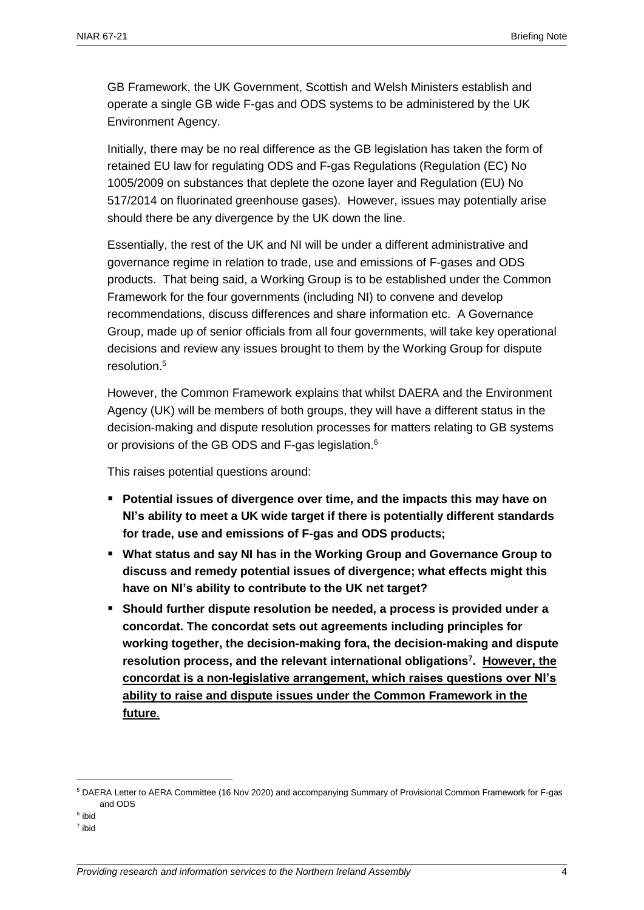GB Framework, the UK Government, Scottish and Welsh Ministers establish and operate a single GB wide F-gas and ODS systems to be administered by the UK Environment Agency.

Initially, there may be no real difference as the GB legislation has taken the form of retained EU law for regulating ODS and F-gas Regulations (Regulation (EC) No 1005/2009 on substances that deplete the ozone layer and Regulation (EU) No 517/2014 on fluorinated greenhouse gases). However, issues may potentially arise should there be any divergence by the UK down the line.

Essentially, the rest of the UK and NI will be under a different administrative and governance regime in relation to trade, use and emissions of F-gases and ODS products. That being said, a Working Group is to be established under the Common Framework for the four governments (including NI) to convene and develop recommendations, discuss differences and share information etc. A Governance Group, made up of senior officials from all four governments, will take key operational decisions and review any issues brought to them by the Working Group for dispute resolution.<sup>5</sup>

However, the Common Framework explains that whilst DAERA and the Environment Agency (UK) will be members of both groups, they will have a different status in the decision-making and dispute resolution processes for matters relating to GB systems or provisions of the GB ODS and F-gas legislation.<sup>6</sup>

This raises potential questions around:

- **Potential issues of divergence over time, and the impacts this may have on NI's ability to meet a UK wide target if there is potentially different standards for trade, use and emissions of F-gas and ODS products;**
- **What status and say NI has in the Working Group and Governance Group to discuss and remedy potential issues of divergence; what effects might this have on NI's ability to contribute to the UK net target?**
- **Should further dispute resolution be needed, a process is provided under a concordat. The concordat sets out agreements including principles for working together, the decision-making fora, the decision-making and dispute resolution process, and the relevant international obligations<sup>7</sup> . However, the concordat is a non-legislative arrangement, which raises questions over NI's ability to raise and dispute issues under the Common Framework in the future**.

<sup>6</sup> ibid

 $\overline{a}$ 

<sup>5</sup> DAERA Letter to AERA Committee (16 Nov 2020) and accompanying Summary of Provisional Common Framework for F-gas and ODS

<sup>7</sup> ibid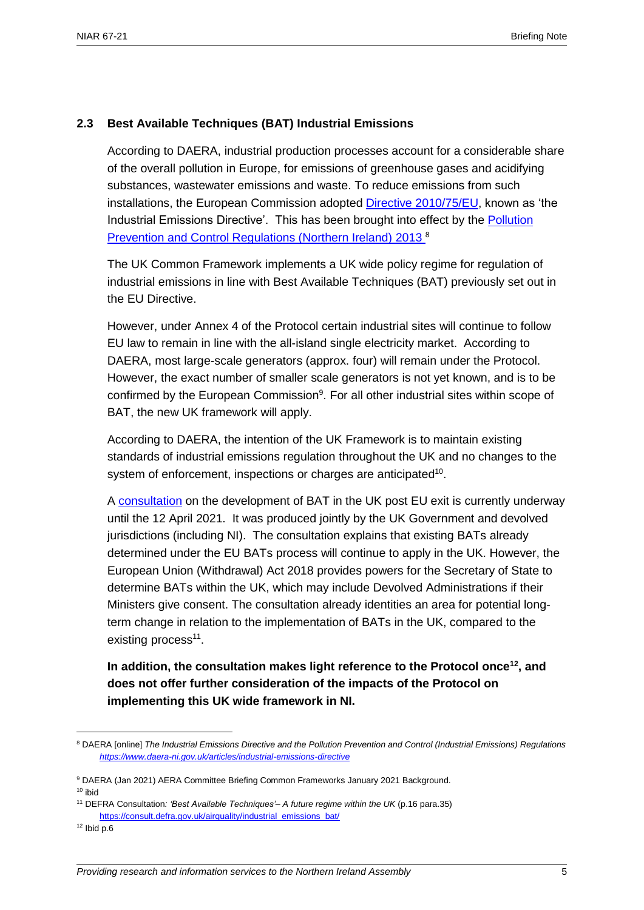#### **2.3 Best Available Techniques (BAT) Industrial Emissions**

According to DAERA, industrial production processes account for a considerable share of the overall pollution in Europe, for emissions of greenhouse gases and acidifying substances, wastewater emissions and waste. To reduce emissions from such installations, the European Commission adopted [Directive 2010/75/EU,](http://eur-lex.europa.eu/legal-content/EN/TXT/?uri=CELEX%3A32010L0075) known as 'the Industrial Emissions Directive'. This has been brought into effect by the [Pollution](http://www.legislation.gov.uk/nisr/2013/160/contents/made)  [Prevention and Control Regulations \(Northern Ireland\) 2013](http://www.legislation.gov.uk/nisr/2013/160/contents/made) <sup>8</sup>

The UK Common Framework implements a UK wide policy regime for regulation of industrial emissions in line with Best Available Techniques (BAT) previously set out in the EU Directive.

However, under Annex 4 of the Protocol certain industrial sites will continue to follow EU law to remain in line with the all-island single electricity market. According to DAERA, most large-scale generators (approx. four) will remain under the Protocol. However, the exact number of smaller scale generators is not yet known, and is to be confirmed by the European Commission $9$ . For all other industrial sites within scope of BAT, the new UK framework will apply.

According to DAERA, the intention of the UK Framework is to maintain existing standards of industrial emissions regulation throughout the UK and no changes to the system of enforcement, inspections or charges are anticipated<sup>10</sup>.

A [consultation](https://consult.defra.gov.uk/airquality/industrial_emissions_bat/) on the development of BAT in the UK post EU exit is currently underway until the 12 April 2021. It was produced jointly by the UK Government and devolved jurisdictions (including NI). The consultation explains that existing BATs already determined under the EU BATs process will continue to apply in the UK. However, the European Union (Withdrawal) Act 2018 provides powers for the Secretary of State to determine BATs within the UK, which may include Devolved Administrations if their Ministers give consent. The consultation already identities an area for potential longterm change in relation to the implementation of BATs in the UK, compared to the existing process<sup>11</sup>.

**In addition, the consultation makes light reference to the Protocol once<sup>12</sup>, and does not offer further consideration of the impacts of the Protocol on implementing this UK wide framework in NI.** 

 $\overline{a}$ 

<sup>8</sup> DAERA [online] *The Industrial Emissions Directive and the Pollution Prevention and Control (Industrial Emissions) Regulations <https://www.daera-ni.gov.uk/articles/industrial-emissions-directive>*

<sup>9</sup> DAERA (Jan 2021) AERA Committee Briefing Common Frameworks January 2021 Background. <sup>10</sup> ibid

<sup>11</sup> DEFRA Consultation*: 'Best Available Techniques'– A future regime within the UK* (p.16 para.35) [https://consult.defra.gov.uk/airquality/industrial\\_emissions\\_bat/](https://consult.defra.gov.uk/airquality/industrial_emissions_bat/)

 $12$  Ibid p.6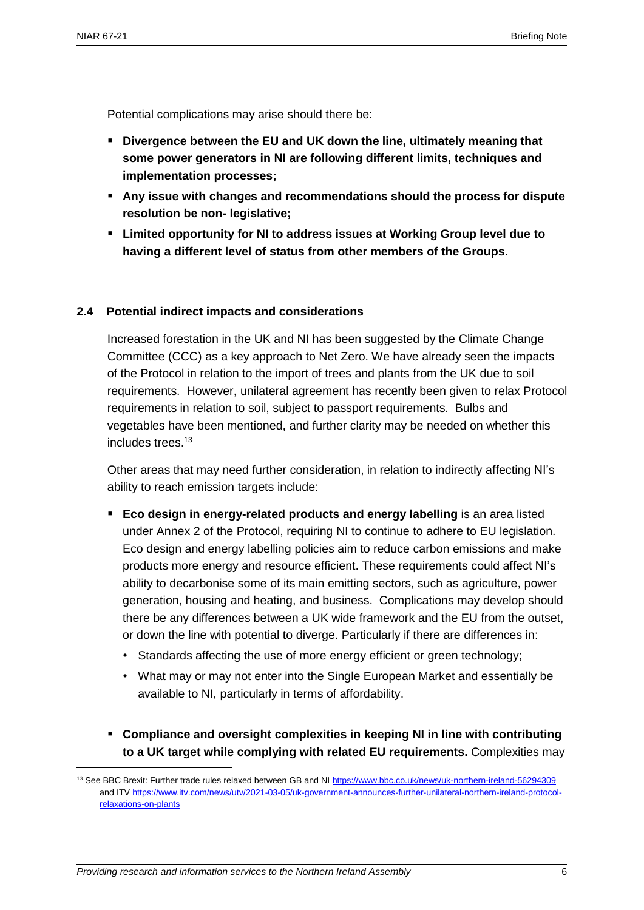$\overline{a}$ 

Potential complications may arise should there be:

- **Divergence between the EU and UK down the line, ultimately meaning that some power generators in NI are following different limits, techniques and implementation processes;**
- **Any issue with changes and recommendations should the process for dispute resolution be non- legislative;**
- **Limited opportunity for NI to address issues at Working Group level due to having a different level of status from other members of the Groups.**

#### **2.4 Potential indirect impacts and considerations**

Increased forestation in the UK and NI has been suggested by the Climate Change Committee (CCC) as a key approach to Net Zero. We have already seen the impacts of the Protocol in relation to the import of trees and plants from the UK due to soil requirements. However, unilateral agreement has recently been given to relax Protocol requirements in relation to soil, subject to passport requirements. Bulbs and vegetables have been mentioned, and further clarity may be needed on whether this includes trees.<sup>13</sup>

Other areas that may need further consideration, in relation to indirectly affecting NI's ability to reach emission targets include:

- **Eco design in energy-related products and energy labelling** is an area listed under Annex 2 of the Protocol, requiring NI to continue to adhere to EU legislation. Eco design and energy labelling policies aim to reduce carbon emissions and make products more energy and resource efficient. These requirements could affect NI's ability to decarbonise some of its main emitting sectors, such as agriculture, power generation, housing and heating, and business. Complications may develop should there be any differences between a UK wide framework and the EU from the outset, or down the line with potential to diverge. Particularly if there are differences in:
	- Standards affecting the use of more energy efficient or green technology;
	- What may or may not enter into the Single European Market and essentially be available to NI, particularly in terms of affordability.
- **Compliance and oversight complexities in keeping NI in line with contributing to a UK target while complying with related EU requirements.** Complexities may

<sup>13</sup> See BBC Brexit: Further trade rules relaxed between GB and N[I https://www.bbc.co.uk/news/uk-northern-ireland-56294309](https://www.bbc.co.uk/news/uk-northern-ireland-56294309) and IT[V https://www.itv.com/news/utv/2021-03-05/uk-government-announces-further-unilateral-northern-ireland-protocol](https://www.itv.com/news/utv/2021-03-05/uk-government-announces-further-unilateral-northern-ireland-protocol-relaxations-on-plants)[relaxations-on-plants](https://www.itv.com/news/utv/2021-03-05/uk-government-announces-further-unilateral-northern-ireland-protocol-relaxations-on-plants)